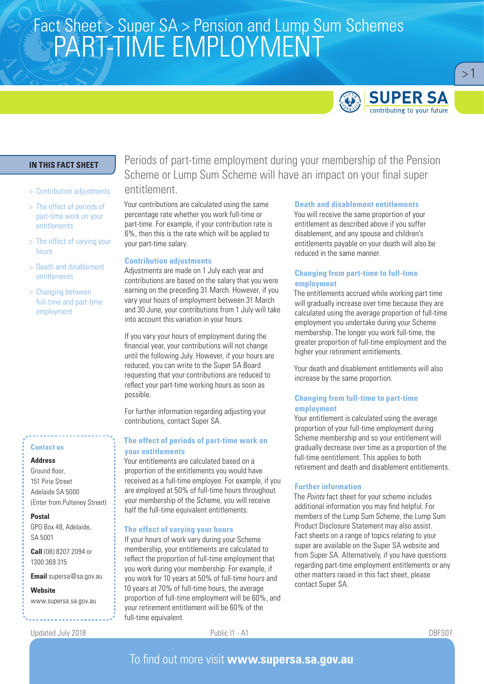# Fact Sheet > Super SA > Pension and Lump Sum Schemes<br>SA D T TIN AF FN ADI OVN AFNIT PART-TIME EMPLOYMENT



 $>1$ 

# **IN THIS FACT SHEET**

- > Contribution adjustments
- > The effect of periods of part-time work on your entitlements
- > The effect of varying your hours
- > Death and disablement entitlements
- > Changing between full-time and part-time employment

### **Contact us**

### **Address**

Ground floor, 151 Pirie Street Adelaide SA 5000 (Enter from Pulteney Street)

**Postal**  GPO Box 48, Adelaide,

SA 5001 **Call** (08) 8207 2094 or

1300 369 315

**Email** supersa@sa.gov.au

**Website** www.supersa.sa.gov.au

Updated July 2018 Public I1 - A1 DBFS07

Periods of part-time employment during your membership of the Pension Scheme or Lump Sum Scheme will have an impact on your final super entitlement.

Your contributions are calculated using the same percentage rate whether you work full-time or part-time. For example, if your contribution rate is 6%, then this is the rate which will be applied to your part-time salary.

#### **Contribution adjustments**

Adjustments are made on 1 July each year and contributions are based on the salary that you were earning on the preceding 31 March. However, if you vary your hours of employment between 31 March and 30 June, your contributions from 1 July will take into account this variation in your hours.

If you vary your hours of employment during the financial year, your contributions will not change until the following July. However, if your hours are reduced, you can write to the Super SA Board requesting that your contributions are reduced to reflect your part-time working hours as soon as possible.

For further information regarding adjusting your contributions, contact Super SA.

## **The effect of periods of part-time work on your entitlements**

Your entitlements are calculated based on a proportion of the entitlements you would have received as a full-time employee. For example, if you are employed at 50% of full-time hours throughout your membership of the Scheme, you will receive half the full-time equivalent entitlements.

### **The effect of varying your hours**

If your hours of work vary during your Scheme membership, your entitlements are calculated to reflect the proportion of full-time employment that you work during your membership. For example, if you work for 10 years at 50% of full-time hours and 10 years at 70% of full-time hours, the average proportion of full-time employment will be 60%, and your retirement entitlement will be 60% of the full-time equivalent.

#### **Death and disablement entitlements**

You will receive the same proportion of your entitlement as described above if you suffer disablement, and any spouse and children's entitlements payable on your death will also be reduced in the same manner.

### **Changing from part-time to full-time employment**

The entitlements accrued while working part time will gradually increase over time because they are calculated using the average proportion of full-time employment you undertake during your Scheme membership. The longer you work full-time, the greater proportion of full-time employment and the higher your retirement entitlements.

Your death and disablement entitlements will also increase by the same proportion.

## **Changing from full-time to part-time employment**

Your entitlement is calculated using the average proportion of your full-time employment during Scheme membership and so your entitlement will gradually decrease over time as a proportion of the full-time eentitlement. This applies to both retirement and death and disablement entitlements.

## **Further information**

The *Points* fact sheet for your scheme includes additional information you may find helpful. For members of the Lump Sum Scheme, the Lump Sum Product Disclosure Statement may also assist. Fact sheets on a range of topics relating to your super are available on the Super SA website and from Super SA. Alternatively, if you have questions regarding part-time employment entitlements or any other matters raised in this fact sheet, please contact Super SA.

# To find out more visit **www.supersa.sa.gov.au**